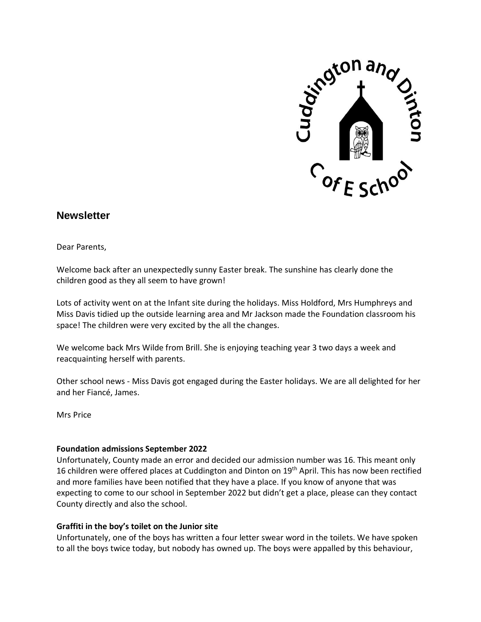

# **Newsletter**

Dear Parents,

Welcome back after an unexpectedly sunny Easter break. The sunshine has clearly done the children good as they all seem to have grown!

Lots of activity went on at the Infant site during the holidays. Miss Holdford, Mrs Humphreys and Miss Davis tidied up the outside learning area and Mr Jackson made the Foundation classroom his space! The children were very excited by the all the changes.

We welcome back Mrs Wilde from Brill. She is enjoying teaching year 3 two days a week and reacquainting herself with parents.

Other school news - Miss Davis got engaged during the Easter holidays. We are all delighted for her and her Fiancé, James.

Mrs Price

## **Foundation admissions September 2022**

Unfortunately, County made an error and decided our admission number was 16. This meant only 16 children were offered places at Cuddington and Dinton on 19<sup>th</sup> April. This has now been rectified and more families have been notified that they have a place. If you know of anyone that was expecting to come to our school in September 2022 but didn't get a place, please can they contact County directly and also the school.

## **Graffiti in the boy's toilet on the Junior site**

Unfortunately, one of the boys has written a four letter swear word in the toilets. We have spoken to all the boys twice today, but nobody has owned up. The boys were appalled by this behaviour,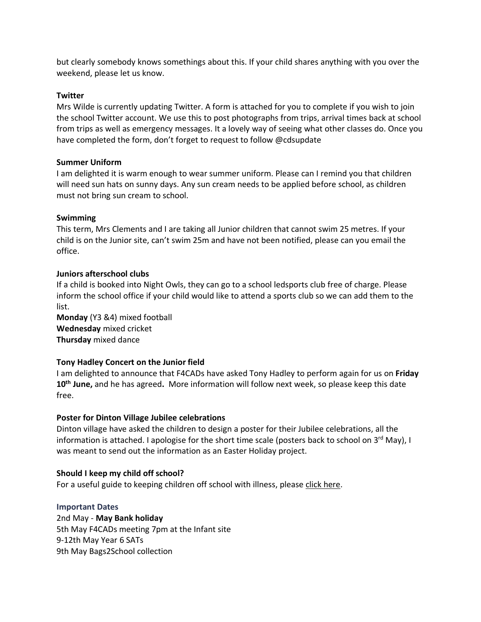but clearly somebody knows somethings about this. If your child shares anything with you over the weekend, please let us know.

### **Twitter**

Mrs Wilde is currently updating Twitter. A form is attached for you to complete if you wish to join the school Twitter account. We use this to post photographs from trips, arrival times back at school from trips as well as emergency messages. It a lovely way of seeing what other classes do. Once you have completed the form, don't forget to request to follow @cdsupdate

#### **Summer Uniform**

I am delighted it is warm enough to wear summer uniform. Please can I remind you that children will need sun hats on sunny days. Any sun cream needs to be applied before school, as children must not bring sun cream to school.

#### **Swimming**

This term, Mrs Clements and I are taking all Junior children that cannot swim 25 metres. If your child is on the Junior site, can't swim 25m and have not been notified, please can you email the office.

#### **Juniors afterschool clubs**

If a child is booked into Night Owls, they can go to a school ledsports club free of charge. Please inform the school office if your child would like to attend a sports club so we can add them to the list.

**Monday** (Y3 &4) mixed football **Wednesday** mixed cricket **Thursday** mixed dance

## **Tony Hadley Concert on the Junior field**

I am delighted to announce that F4CADs have asked Tony Hadley to perform again for us on **Friday 10th June,** and he has agreed**.** More information will follow next week, so please keep this date free.

## **Poster for Dinton Village Jubilee celebrations**

Dinton village have asked the children to design a poster for their Jubilee celebrations, all the information is attached. I apologise for the short time scale (posters back to school on 3<sup>rd</sup> May), I was meant to send out the information as an Easter Holiday project.

#### **Should I keep my child off school?**

For a useful guide to keeping children off school with illness, please click [here.](https://assets.publishing.service.gov.uk/government/uploads/system/uploads/attachment_data/file/1070910/UKHSA-should-I-keep-my_child_off_school_guidance-A3-poster.pdf)

## **Important Dates**

2nd May - **May Bank holiday** 5th May F4CADs meeting 7pm at the Infant site 9-12th May Year 6 SATs 9th May Bags2School collection